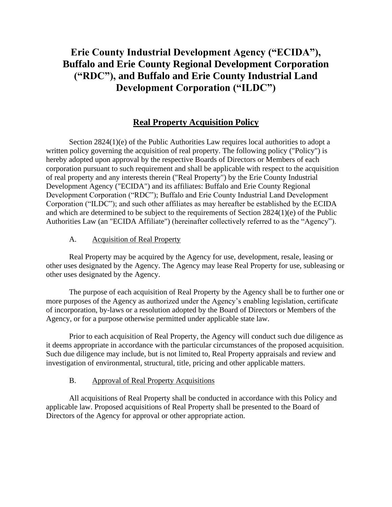# **Erie County Industrial Development Agency ("ECIDA"), Buffalo and Erie County Regional Development Corporation ("RDC"), and Buffalo and Erie County Industrial Land Development Corporation ("ILDC")**

## **Real Property Acquisition Policy**

Section 2824(1)(e) of the Public Authorities Law requires local authorities to adopt a written policy governing the acquisition of real property. The following policy ("Policy") is hereby adopted upon approval by the respective Boards of Directors or Members of each corporation pursuant to such requirement and shall be applicable with respect to the acquisition of real property and any interests therein ("Real Property") by the Erie County Industrial Development Agency ("ECIDA") and its affiliates: Buffalo and Erie County Regional Development Corporation ("RDC"); Buffalo and Erie County Industrial Land Development Corporation ("ILDC"); and such other affiliates as may hereafter be established by the ECIDA and which are determined to be subject to the requirements of Section 2824(1)(e) of the Public Authorities Law (an "ECIDA Affiliate") (hereinafter collectively referred to as the "Agency").

#### A. Acquisition of Real Property

Real Property may be acquired by the Agency for use, development, resale, leasing or other uses designated by the Agency. The Agency may lease Real Property for use, subleasing or other uses designated by the Agency.

The purpose of each acquisition of Real Property by the Agency shall be to further one or more purposes of the Agency as authorized under the Agency's enabling legislation, certificate of incorporation, by-laws or a resolution adopted by the Board of Directors or Members of the Agency, or for a purpose otherwise permitted under applicable state law.

Prior to each acquisition of Real Property, the Agency will conduct such due diligence as it deems appropriate in accordance with the particular circumstances of the proposed acquisition. Such due diligence may include, but is not limited to, Real Property appraisals and review and investigation of environmental, structural, title, pricing and other applicable matters.

#### B. Approval of Real Property Acquisitions

All acquisitions of Real Property shall be conducted in accordance with this Policy and applicable law. Proposed acquisitions of Real Property shall be presented to the Board of Directors of the Agency for approval or other appropriate action.